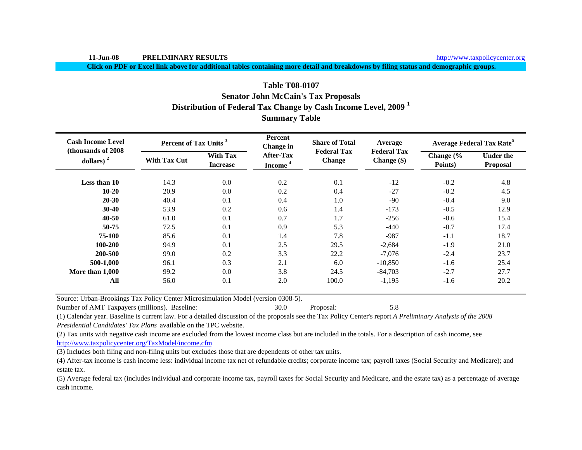**11-Jun-08 PRELIMINARY RESULTS**

**Click on PDF or Excel link above for additional tables containing more detail and breakdowns by filing status and demographic groups.**

# **Table T08-0107Senator John McCain's Tax Proposals Distribution of Federal Tax Change by Cash Income Level, 2009 <sup>1</sup> Summary Table**

| <b>Cash Income Level</b><br>(thousands of 2008) | Percent of Tax Units <sup>3</sup> |                                    | <b>Percent</b><br><b>Change</b> in      | <b>Share of Total</b>               | Average                             |                                 | <b>Average Federal Tax Rate<sup>5</sup></b> |  |
|-------------------------------------------------|-----------------------------------|------------------------------------|-----------------------------------------|-------------------------------------|-------------------------------------|---------------------------------|---------------------------------------------|--|
| dollars) <sup>2</sup>                           | <b>With Tax Cut</b>               | <b>With Tax</b><br><b>Increase</b> | <b>After-Tax</b><br>Income <sup>4</sup> | <b>Federal Tax</b><br><b>Change</b> | <b>Federal Tax</b><br>Change $(\$)$ | Change $\frac{6}{6}$<br>Points) | <b>Under the</b><br>Proposal                |  |
| Less than 10                                    | 14.3                              | 0.0                                | 0.2                                     | 0.1                                 | $-12$                               | $-0.2$                          | 4.8                                         |  |
| $10 - 20$                                       | 20.9                              | 0.0                                | 0.2                                     | 0.4                                 | $-27$                               | $-0.2$                          | 4.5                                         |  |
| $20 - 30$                                       | 40.4                              | 0.1                                | 0.4                                     | 1.0                                 | $-90$                               | $-0.4$                          | 9.0                                         |  |
| $30-40$                                         | 53.9                              | 0.2                                | 0.6                                     | 1.4                                 | $-173$                              | $-0.5$                          | 12.9                                        |  |
| $40 - 50$                                       | 61.0                              | 0.1                                | 0.7                                     | 1.7                                 | $-256$                              | $-0.6$                          | 15.4                                        |  |
| 50-75                                           | 72.5                              | 0.1                                | 0.9                                     | 5.3                                 | $-440$                              | $-0.7$                          | 17.4                                        |  |
| 75-100                                          | 85.6                              | 0.1                                | 1.4                                     | 7.8                                 | $-987$                              | $-1.1$                          | 18.7                                        |  |
| 100-200                                         | 94.9                              | 0.1                                | 2.5                                     | 29.5                                | $-2,684$                            | $-1.9$                          | 21.0                                        |  |
| 200-500                                         | 99.0                              | 0.2                                | 3.3                                     | 22.2                                | $-7,076$                            | $-2.4$                          | 23.7                                        |  |
| 500-1,000                                       | 96.1                              | 0.3                                | 2.1                                     | 6.0                                 | $-10,850$                           | $-1.6$                          | 25.4                                        |  |
| More than 1,000                                 | 99.2                              | 0.0                                | 3.8                                     | 24.5                                | $-84,703$                           | $-2.7$                          | 27.7                                        |  |
| All                                             | 56.0                              | 0.1                                | 2.0                                     | 100.0                               | $-1,195$                            | $-1.6$                          | 20.2                                        |  |

Source: Urban-Brookings Tax Policy Center Microsimulation Model (version 0308-5).

Number of AMT Taxpayers (millions). Baseline: 30.0 Proposal: 5.8

(1) Calendar year. Baseline is current law. For a detailed discussion of the proposals see the Tax Policy Center's report *A Preliminary Analysis of the 2008 Presidential Candidates' Tax Plans* available on the TPC website.

(2) Tax units with negative cash income are excluded from the lowest income class but are included in the totals. For a description of cash income, see

http://www.taxpolicycenter.org/TaxModel/income.cfm

(3) Includes both filing and non-filing units but excludes those that are dependents of other tax units.

(4) After-tax income is cash income less: individual income tax net of refundable credits; corporate income tax; payroll taxes (Social Security and Medicare); and estate tax.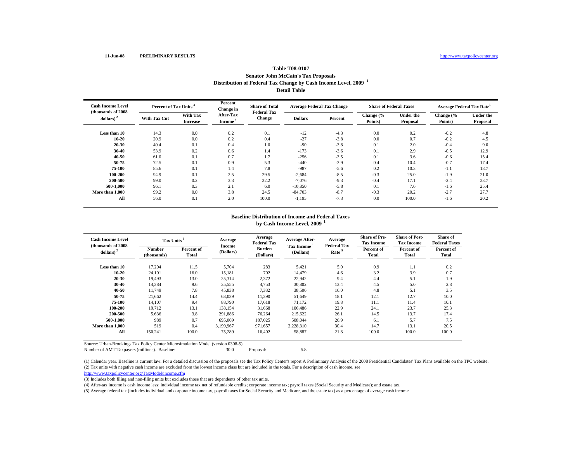#### **Table T08-0107 Senator John McCain's Tax Proposals Distribution of Federal Tax Change by Cash Income Level, 2009 <sup>1</sup> Detail Table**

| <b>Cash Income Level</b><br>(thousands of 2008) | Percent of Tax Units |                             | Percent<br>Change in                    | <b>Share of Total</b><br><b>Federal Tax</b> | <b>Average Federal Tax Change</b> |         | <b>Share of Federal Taxes</b> |                              | Average Federal Tax Rate |                              |
|-------------------------------------------------|----------------------|-----------------------------|-----------------------------------------|---------------------------------------------|-----------------------------------|---------|-------------------------------|------------------------------|--------------------------|------------------------------|
| dollars) <sup>2</sup>                           | <b>With Tax Cut</b>  | With Tax<br><b>Increase</b> | <b>After-Tax</b><br>Income <sup>*</sup> | Change                                      | <b>Dollars</b>                    | Percent | Change (%<br>Points)          | <b>Under the</b><br>Proposal | Change (%<br>Points)     | <b>Under the</b><br>Proposal |
| Less than 10                                    | 14.3                 | 0.0                         | 0.2                                     | 0.1                                         | $-12$                             | $-4.3$  | 0.0                           | 0.2                          | $-0.2$                   | 4.8                          |
| 10-20                                           | 20.9                 | 0.0                         | 0.2                                     | 0.4                                         | $-27$                             | $-3.8$  | 0.0                           | 0.7                          | $-0.2$                   | 4.5                          |
| 20-30                                           | 40.4                 | 0.1                         | 0.4                                     | 1.0                                         | $-90$                             | $-3.8$  | 0.1                           | 2.0                          | $-0.4$                   | 9.0                          |
| 30-40                                           | 53.9                 | 0.2                         | 0.6                                     | 1.4                                         | $-173$                            | $-3.6$  | 0.1                           | 2.9                          | $-0.5$                   | 12.9                         |
| 40-50                                           | 61.0                 | 0.1                         | 0.7                                     | 1.7                                         | $-256$                            | $-3.5$  | 0.1                           | 3.6                          | $-0.6$                   | 15.4                         |
| 50-75                                           | 72.5                 | 0.1                         | 0.9                                     | 5.3                                         | $-440$                            | $-3.9$  | 0.4                           | 10.4                         | $-0.7$                   | 17.4                         |
| 75-100                                          | 85.6                 | 0.1                         | 1.4                                     | 7.8                                         | $-987$                            | $-5.6$  | 0.2                           | 10.3                         | $-1.1$                   | 18.7                         |
| 100-200                                         | 94.9                 | 0.1                         | 2.5                                     | 29.5                                        | $-2,684$                          | $-8.5$  | $-0.3$                        | 25.0                         | $-1.9$                   | 21.0                         |
| 200-500                                         | 99.0                 | 0.2                         | 3.3                                     | 22.2                                        | $-7.076$                          | $-9.3$  | $-0.4$                        | 17.1                         | $-2.4$                   | 23.7                         |
| 500-1.000                                       | 96.1                 | 0.3                         | 2.1                                     | 6.0                                         | $-10,850$                         | $-5.8$  | 0.1                           | 7.6                          | $-1.6$                   | 25.4                         |
| More than 1.000                                 | 99.2                 | 0.0                         | 3.8                                     | 24.5                                        | $-84,703$                         | $-8.7$  | $-0.3$                        | 20.2                         | $-2.7$                   | 27.7                         |
| All                                             | 56.0                 | 0.1                         | 2.0                                     | 100.0                                       | $-1,195$                          | $-7.3$  | 0.0                           | 100.0                        | $-1.6$                   | 20.2                         |

# **Baseline Distribution of Income and Federal Taxesby Cash Income Level, 2009 <sup>1</sup>**

| <b>Cash Income Level</b><br>(thousands of 2008) | Tax Units <sup>3</sup>       |                     | Average             | Average<br><b>Federal Tax</b> | <b>Average After-</b>                | Average<br><b>Federal Tax</b> | <b>Share of Pre-</b><br><b>Tax Income</b> | <b>Share of Post-</b><br><b>Tax Income</b> | <b>Share of</b><br><b>Federal Taxes</b> |
|-------------------------------------------------|------------------------------|---------------------|---------------------|-------------------------------|--------------------------------------|-------------------------------|-------------------------------------------|--------------------------------------------|-----------------------------------------|
| dollars) $2$                                    | <b>Number</b><br>(thousands) | Percent of<br>Total | Income<br>(Dollars) | <b>Burden</b><br>(Dollars)    | Tax Income <sup>4</sup><br>(Dollars) | Rate <sup>5</sup>             | Percent of<br><b>Total</b>                | Percent of<br>Total                        | Percent of<br>Total                     |
| Less than 10                                    | 17,204                       | 11.5                | 5,704               | 283                           | 5,421                                | 5.0                           | 0.9                                       | 1.1                                        | 0.2                                     |
| $10 - 20$                                       | 24,101                       | 16.0                | 15,181              | 702                           | 14.479                               | 4.6                           | 3.2                                       | 3.9                                        | 0.7                                     |
| 20-30                                           | 19,493                       | 13.0                | 25,314              | 2,372                         | 22,942                               | 9.4                           | 4.4                                       | 5.1                                        | 1.9                                     |
| 30-40                                           | 14,384                       | 9.6                 | 35,555              | 4,753                         | 30,802                               | 13.4                          | 4.5                                       | 5.0                                        | 2.8                                     |
| $40 - 50$                                       | 11,749                       | 7.8                 | 45,838              | 7,332                         | 38,506                               | 16.0                          | 4.8                                       | 5.1                                        | 3.5                                     |
| 50-75                                           | 21,662                       | 14.4                | 63,039              | 11,390                        | 51,649                               | 18.1                          | 12.1                                      | 12.7                                       | 10.0                                    |
| 75-100                                          | 14,107                       | 9.4                 | 88,790              | 17.618                        | 71,172                               | 19.8                          | 11.1                                      | 11.4                                       | 10.1                                    |
| 100-200                                         | 19.712                       | 13.1                | 138,154             | 31.668                        | 106,486                              | 22.9                          | 24.1                                      | 23.7                                       | 25.3                                    |
| 200-500                                         | 5,636                        | 3.8                 | 291,886             | 76,264                        | 215,622                              | 26.1                          | 14.5                                      | 13.7                                       | 17.4                                    |
| 500-1.000                                       | 989                          | 0.7                 | 695.069             | 187,025                       | 508,044                              | 26.9                          | 6.1                                       | 5.7                                        | 7.5                                     |
| More than 1,000                                 | 519                          | 0.4                 | 3.199.967           | 971.657                       | 2,228,310                            | 30.4                          | 14.7                                      | 13.1                                       | 20.5                                    |
| All                                             | 150,241                      | 100.0               | 75,289              | 16,402                        | 58,887                               | 21.8                          | 100.0                                     | 100.0                                      | 100.0                                   |

Source: Urban-Brookings Tax Policy Center Microsimulation Model (version 0308-5).

Number of AMT Taxpayers (millions). Baseline: 30.0 Proposal: 5.8

(2) Tax units with negative cash income are excluded from the lowest income class but are included in the totals. For a description of cash income, see (1) Calendar year. Baseline is current law. For a detailed discussion of the proposals see the Tax Policy Center's report A Preliminary Analysis of the 2008 Presidential Candidates' Tax Plans available on the TPC website.

http://www.taxpolicycenter.org/TaxModel/income.cfm

(3) Includes both filing and non-filing units but excludes those that are dependents of other tax units.

(4) After-tax income is cash income less: individual income tax net of refundable credits; corporate income tax; payroll taxes (Social Security and Medicare); and estate tax.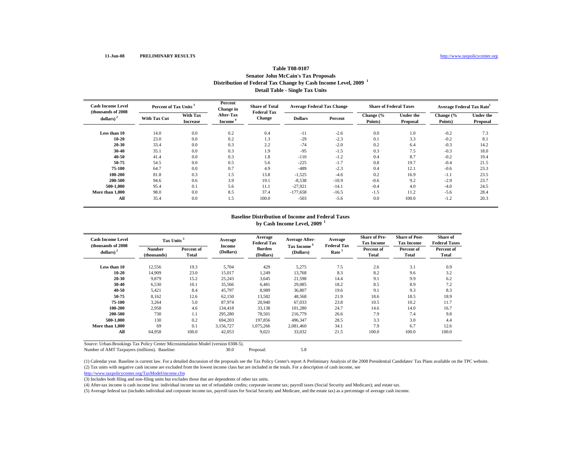## **Table T08-0107 Senator John McCain's Tax Proposals Distribution of Federal Tax Change by Cash Income Level, 2009 <sup>1</sup> Detail Table - Single Tax Units**

| <b>Cash Income Level</b><br>(thousands of 2008) | Percent of Tax Units |                                    | Percent<br>Change in                    | <b>Share of Total</b><br><b>Federal Tax</b> | <b>Average Federal Tax Change</b> |         | <b>Share of Federal Taxes</b> |                              | <b>Average Federal Tax Rate</b> |                              |
|-------------------------------------------------|----------------------|------------------------------------|-----------------------------------------|---------------------------------------------|-----------------------------------|---------|-------------------------------|------------------------------|---------------------------------|------------------------------|
| $dollars)$ <sup>2</sup>                         | <b>With Tax Cut</b>  | <b>With Tax</b><br><b>Increase</b> | <b>After-Tax</b><br>Income <sup>'</sup> | Change                                      | <b>Dollars</b>                    | Percent | Change (%<br>Points)          | <b>Under the</b><br>Proposal | Change (%<br>Points)            | <b>Under the</b><br>Proposal |
| Less than 10                                    | 14.0                 | 0.0                                | 0.2                                     | 0.4                                         | $-11$                             | $-2.6$  | 0.0                           | 1.0                          | $-0.2$                          | 7.3                          |
| $10 - 20$                                       | 23.0                 | 0.0                                | 0.2                                     | 1.3                                         | $-29$                             | $-2.3$  | 0.1                           | 3.3                          | $-0.2$                          | 8.1                          |
| $20 - 30$                                       | 33.4                 | 0.0                                | 0.3                                     | 2.2                                         | $-74$                             | $-2.0$  | 0.2                           | 6.4                          | $-0.3$                          | 14.2                         |
| $30 - 40$                                       | 35.1                 | 0.0                                | 0.3                                     | 1.9                                         | $-95$                             | $-1.5$  | 0.3                           | 7.5                          | $-0.3$                          | 18.0                         |
| 40-50                                           | 41.4                 | 0.0                                | 0.3                                     | 1.8                                         | $-110$                            | $-1.2$  | 0.4                           | 8.7                          | $-0.2$                          | 19.4                         |
| 50-75                                           | 54.5                 | 0.0                                | 0.5                                     | 5.6                                         | $-225$                            | $-1.7$  | 0.8                           | 19.7                         | $-0.4$                          | 21.5                         |
| 75-100                                          | 64.7                 | 0.0                                | 0.7                                     | 4.9                                         | $-489$                            | $-2.3$  | 0.4                           | 12.1                         | $-0.6$                          | 23.3                         |
| 100-200                                         | 81.8                 | 0.3                                | 1.5                                     | 13.8                                        | $-1,525$                          | $-4.6$  | 0.2                           | 16.9                         | $-1.1$                          | 23.5                         |
| 200-500                                         | 94.6                 | 0.6                                | 3.9                                     | 19.1                                        | $-8,538$                          | $-10.9$ | $-0.6$                        | 9.2                          | $-2.9$                          | 23.7                         |
| 500-1.000                                       | 95.4                 | 0.1                                | 5.6                                     | 11.1                                        | $-27,921$                         | $-14.1$ | $-0.4$                        | 4.0                          | $-4.0$                          | 24.5                         |
| More than 1,000                                 | 98.0                 | 0.0                                | 8.5                                     | 37.4                                        | $-177,658$                        | $-16.5$ | $-1.5$                        | 11.2                         | $-5.6$                          | 28.4                         |
| All                                             | 35.4                 | 0.0                                | 1.5                                     | 100.0                                       | $-503$                            | $-5.6$  | 0.0                           | 100.0                        | $-1.2$                          | 20.3                         |

# **Baseline Distribution of Income and Federal Taxesby Cash Income Level, 2009 <sup>1</sup>**

| <b>Cash Income Level</b><br>(thousands of 2008) | Tax Units <sup>3</sup>       |                     | Average             | Average<br><b>Federal Tax</b> | <b>Average After-</b>                | Average<br><b>Federal Tax</b> | <b>Share of Pre-</b><br><b>Tax Income</b> | <b>Share of Post-</b><br><b>Tax Income</b> | <b>Share of</b><br><b>Federal Taxes</b> |
|-------------------------------------------------|------------------------------|---------------------|---------------------|-------------------------------|--------------------------------------|-------------------------------|-------------------------------------------|--------------------------------------------|-----------------------------------------|
| dollars) $2$                                    | <b>Number</b><br>(thousands) | Percent of<br>Total | Income<br>(Dollars) | <b>Burden</b><br>(Dollars)    | Tax Income <sup>4</sup><br>(Dollars) | Rate <sup>5</sup>             | Percent of<br>Total                       | Percent of<br>Total                        | Percent of<br>Total                     |
| Less than 10                                    | 12,556                       | 19.3                | 5,704               | 429                           | 5,275                                | 7.5                           | 2.6                                       | 3.1                                        | 0.9                                     |
| $10 - 20$                                       | 14,909                       | 23.0                | 15,017              | 1,249                         | 13.768                               | 8.3                           | 8.2                                       | 9.6                                        | 3.2                                     |
| 20-30                                           | 9,879                        | 15.2                | 25,243              | 3,645                         | 21,598                               | 14.4                          | 9.1                                       | 9.9                                        | 6.2                                     |
| 30-40                                           | 6,530                        | 10.1                | 35,566              | 6.481                         | 29,085                               | 18.2                          | 8.5                                       | 8.9                                        | 7.2                                     |
| 40-50                                           | 5,421                        | 8.4                 | 45,797              | 8,989                         | 36,807                               | 19.6                          | 9.1                                       | 9.3                                        | 8.3                                     |
| 50-75                                           | 8,162                        | 12.6                | 62,150              | 13,582                        | 48,568                               | 21.9                          | 18.6                                      | 18.5                                       | 18.9                                    |
| 75-100                                          | 3,264                        | 5.0                 | 87,974              | 20,940                        | 67,033                               | 23.8                          | 10.5                                      | 10.2                                       | 11.7                                    |
| 100-200                                         | 2,958                        | 4.6                 | 134,418             | 33,138                        | 101,280                              | 24.7                          | 14.6                                      | 14.0                                       | 16.7                                    |
| 200-500                                         | 730                          | 1.1                 | 295,280             | 78,501                        | 216,779                              | 26.6                          | 7.9                                       | 7.4                                        | 9.8                                     |
| 500-1.000                                       | 130                          | 0.2                 | 694,203             | 197,856                       | 496,347                              | 28.5                          | 3.3                                       | 3.0                                        | 4.4                                     |
| More than 1,000                                 | 69                           | 0.1                 | 3.156.727           | 1,075,266                     | 2.081.460                            | 34.1                          | 7.9                                       | 6.7                                        | 12.6                                    |
| All                                             | 64,958                       | 100.0               | 42,053              | 9,021                         | 33,032                               | 21.5                          | 100.0                                     | 100.0                                      | 100.0                                   |

Source: Urban-Brookings Tax Policy Center Microsimulation Model (version 0308-5).

Number of AMT Taxpayers (millions). Baseline: 30.0 Proposal: 5.8

(2) Tax units with negative cash income are excluded from the lowest income class but are included in the totals. For a description of cash income, see (1) Calendar year. Baseline is current law. For a detailed discussion of the proposals see the Tax Policy Center's report A Preliminary Analysis of the 2008 Presidential Candidates' Tax Plans available on the TPC website.

http://www.taxpolicycenter.org/TaxModel/income.cfm

(3) Includes both filing and non-filing units but excludes those that are dependents of other tax units.

(4) After-tax income is cash income less: individual income tax net of refundable credits; corporate income tax; payroll taxes (Social Security and Medicare); and estate tax.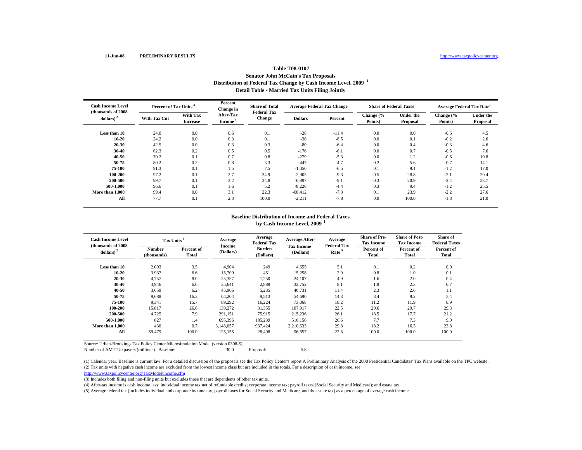## **Table T08-0107 Senator John McCain's Tax Proposals Distribution of Federal Tax Change by Cash Income Level, 2009 <sup>1</sup> Detail Table - Married Tax Units Filing Jointly**

| <b>Cash Income Level</b><br>(thousands of 2008) | Percent of Tax Units |                                    | Percent<br>Change in                    | <b>Share of Total</b><br><b>Federal Tax</b> | <b>Average Federal Tax Change</b> |         | <b>Share of Federal Taxes</b> |                              | Average Federal Tax Rate <sup>5</sup> |                              |
|-------------------------------------------------|----------------------|------------------------------------|-----------------------------------------|---------------------------------------------|-----------------------------------|---------|-------------------------------|------------------------------|---------------------------------------|------------------------------|
| $dollars)$ <sup>2</sup>                         | <b>With Tax Cut</b>  | <b>With Tax</b><br><b>Increase</b> | <b>After-Tax</b><br>Income <sup>4</sup> | Change                                      | <b>Dollars</b>                    | Percent | Change (%<br>Points)          | <b>Under the</b><br>Proposal | Change (%<br>Points)                  | <b>Under the</b><br>Proposal |
| Less than 10                                    | 24.0                 | 0.0                                | 0.6                                     | 0.1                                         | $-28$                             | $-11.4$ | 0.0                           | 0.0                          | $-0.6$                                | 4.5                          |
| $10 - 20$                                       | 24.2                 | 0.0                                | 0.3                                     | 0.1                                         | $-38$                             | $-8.5$  | 0.0                           | 0.1                          | $-0.2$                                | 2.6                          |
| 20-30                                           | 42.5                 | 0.0                                | 0.3                                     | 0.3                                         | $-80$                             | $-6.4$  | 0.0                           | 0.4                          | $-0.3$                                | 4.6                          |
| $30 - 40$                                       | 62.3                 | 0.2                                | 0.5                                     | 0.5                                         | $-176$                            | $-6.1$  | 0.0                           | 0.7                          | $-0.5$                                | 7.6                          |
| $40 - 50$                                       | 70.2                 | 0.1                                | 0.7                                     | 0.8                                         | $-279$                            | $-5.3$  | 0.0                           | 1.2                          | $-0.6$                                | 10.8                         |
| 50-75                                           | 80.2                 | 0.2                                | 0.8                                     | 3.3                                         | $-447$                            | $-4.7$  | 0.2                           | 5.6                          | $-0.7$                                | 14.1                         |
| 75-100                                          | 91.3                 | 0.1                                | 1.5                                     | 7.5                                         | $-1,056$                          | $-6.5$  | 0.1                           | 9.1                          | $-1.2$                                | 17.0                         |
| 100-200                                         | 97.2                 | 0.1                                | 2.7                                     | 34.9                                        | $-2,905$                          | $-9.3$  | $-0.5$                        | 28.8                         | $-2.1$                                | 20.4                         |
| 200-500                                         | 99.7                 | 0.1                                | 3.2                                     | 24.8                                        | $-6,897$                          | $-9.1$  | $-0.3$                        | 20.9                         | $-2.4$                                | 23.7                         |
| 500-1.000                                       | 96.6                 | 0.1                                | 1.6                                     | 5.2                                         | $-8,226$                          | $-4.4$  | 0.3                           | 9.4                          | $-1.2$                                | 25.5                         |
| More than 1,000                                 | 99.4                 | 0.0                                | 3.1                                     | 22.3                                        | $-68,412$                         | $-7.3$  | 0.1                           | 23.9                         | $-2.2$                                | 27.6                         |
| All                                             | 77.7                 | 0.1                                | 2.3                                     | 100.0                                       | $-2,211$                          | $-7.8$  | 0.0                           | 100.0                        | $-1.8$                                | 21.0                         |

# **Baseline Distribution of Income and Federal Taxesby Cash Income Level, 2009 <sup>1</sup>**

| <b>Cash Income Level</b><br>(thousands of 2008) | Tax Units <sup>3</sup>       |                     | Average                    | Average<br><b>Federal Tax</b> | <b>Average After-</b>                | Average<br><b>Federal Tax</b> | <b>Share of Pre-</b><br><b>Tax Income</b> | <b>Share of Post-</b><br><b>Tax Income</b> | Share of<br><b>Federal Taxes</b> |
|-------------------------------------------------|------------------------------|---------------------|----------------------------|-------------------------------|--------------------------------------|-------------------------------|-------------------------------------------|--------------------------------------------|----------------------------------|
| dollars) $2$                                    | <b>Number</b><br>(thousands) | Percent of<br>Total | <b>Income</b><br>(Dollars) | Burden<br>(Dollars)           | Tax Income <sup>4</sup><br>(Dollars) | Rate <sup>5</sup>             | Percent of<br>Total                       | Percent of<br>Total                        | Percent of<br>Total              |
| Less than 10                                    | 2,093                        | 3.5                 | 4,904                      | 249                           | 4,655                                | 5.1                           | 0.1                                       | 0.2                                        | 0.0                              |
| $10 - 20$                                       | 3,937                        | 6.6                 | 15,709                     | 451                           | 15,258                               | 2.9                           | 0.8                                       | 1.0                                        | 0.1                              |
| $20 - 30$                                       | 4,757                        | 8.0                 | 25,357                     | 1,250                         | 24,107                               | 4.9                           | 1.6                                       | 2.0                                        | 0.4                              |
| 30-40                                           | 3,946                        | 6.6                 | 35,641                     | 2,889                         | 32,752                               | 8.1                           | 1.9                                       | 2.3                                        | 0.7                              |
| 40-50                                           | 3,659                        | 6.2                 | 45,966                     | 5,235                         | 40,731                               | 11.4                          | 2.3                                       | 2.6                                        | 1.1                              |
| 50-75                                           | 9,688                        | 16.3                | 64,204                     | 9,513                         | 54,690                               | 14.8                          | 8.4                                       | 9.2                                        | 5.4                              |
| 75-100                                          | 9,341                        | 15.7                | 89,292                     | 16,224                        | 73,068                               | 18.2                          | 11.2                                      | 11.9                                       | 8.9                              |
| 100-200                                         | 15,817                       | 26.6                | 139,272                    | 31,355                        | 107.917                              | 22.5                          | 29.6                                      | 29.7                                       | 29.3                             |
| 200-500                                         | 4.725                        | 7.9                 | 291.151                    | 75.915                        | 215.236                              | 26.1                          | 18.5                                      | 17.7                                       | 21.2                             |
| 500-1.000                                       | 827                          | 1.4                 | 695,396                    | 185,239                       | 510,156                              | 26.6                          | 7.7                                       | 7.3                                        | 9.0                              |
| More than 1.000                                 | 430                          | 0.7                 | 3.148.057                  | 937.424                       | 2,210,633                            | 29.8                          | 18.2                                      | 16.5                                       | 23.8                             |
| All                                             | 59,479                       | 100.0               | 125,155                    | 28,498                        | 96,657                               | 22.8                          | 100.0                                     | 100.0                                      | 100.0                            |

Source: Urban-Brookings Tax Policy Center Microsimulation Model (version 0308-5).

Number of AMT Taxpayers (millions). Baseline: 30.0 Proposal: 5.8

(2) Tax units with negative cash income are excluded from the lowest income class but are included in the totals. For a description of cash income, see (1) Calendar year. Baseline is current law. For a detailed discussion of the proposals see the Tax Policy Center's report A Preliminary Analysis of the 2008 Presidential Candidates' Tax Plans available on the TPC website.

http://www.taxpolicycenter.org/TaxModel/income.cfm

(3) Includes both filing and non-filing units but excludes those that are dependents of other tax units.

(4) After-tax income is cash income less: individual income tax net of refundable credits; corporate income tax; payroll taxes (Social Security and Medicare); and estate tax.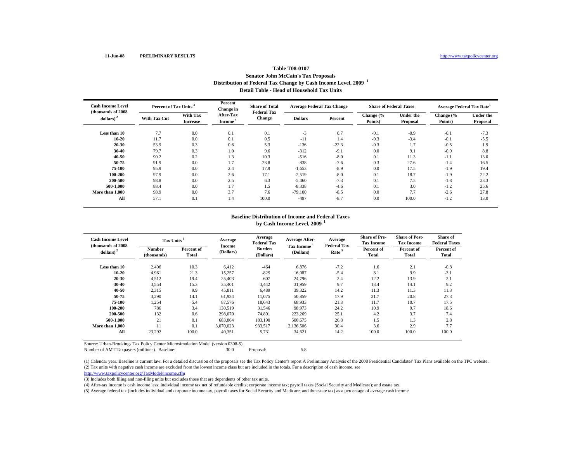## **Table T08-0107 Senator John McCain's Tax Proposals Distribution of Federal Tax Change by Cash Income Level, 2009 <sup>1</sup> Detail Table - Head of Household Tax Units**

| <b>Cash Income Level</b><br>(thousands of 2008) | Percent of Tax Units |                                    | Percent<br>Change in                    | <b>Share of Total</b><br><b>Federal Tax</b> | <b>Average Federal Tax Change</b> |         | <b>Share of Federal Taxes</b> |                              | Average Federal Tax Rate <sup>5</sup> |                              |
|-------------------------------------------------|----------------------|------------------------------------|-----------------------------------------|---------------------------------------------|-----------------------------------|---------|-------------------------------|------------------------------|---------------------------------------|------------------------------|
| dollars) <sup>2</sup>                           | <b>With Tax Cut</b>  | <b>With Tax</b><br><b>Increase</b> | <b>After-Tax</b><br>Income <sup>*</sup> | <b>Change</b>                               | <b>Dollars</b>                    | Percent | Change (%<br>Points)          | <b>Under the</b><br>Proposal | Change (%<br>Points)                  | <b>Under the</b><br>Proposal |
| Less than 10                                    | 7.7                  | 0.0                                | 0.1                                     | 0.1                                         | $-3$                              | 0.7     | $-0.1$                        | $-0.9$                       | $-0.1$                                | $-7.3$                       |
| $10 - 20$                                       | 11.7                 | 0.0                                | 0.1                                     | 0.5                                         | $-11$                             | 1.4     | $-0.3$                        | $-3.4$                       | $-0.1$                                | $-5.5$                       |
| $20 - 30$                                       | 53.9                 | 0.3                                | 0.6                                     | 5.3                                         | $-136$                            | $-22.3$ | $-0.3$                        | 1.7                          | $-0.5$                                | 1.9                          |
| $30 - 40$                                       | 79.7                 | 0.3                                | 1.0                                     | 9.6                                         | $-312$                            | $-9.1$  | 0.0                           | 9.1                          | $-0.9$                                | 8.8                          |
| $40 - 50$                                       | 90.2                 | 0.2                                | 1.3                                     | 10.3                                        | $-516$                            | $-8.0$  | 0.1                           | 11.3                         | $-1.1$                                | 13.0                         |
| 50-75                                           | 91.9                 | 0.0                                | 1.7                                     | 23.8                                        | $-838$                            | $-7.6$  | 0.3                           | 27.6                         | $-1.4$                                | 16.5                         |
| 75-100                                          | 95.9                 | 0.0                                | 2.4                                     | 17.9                                        | $-1,653$                          | $-8.9$  | 0.0                           | 17.5                         | $-1.9$                                | 19.4                         |
| 100-200                                         | 97.9                 | 0.0                                | 2.6                                     | 17.1                                        | $-2,519$                          | $-8.0$  | 0.1                           | 18.7                         | $-1.9$                                | 22.2                         |
| 200-500                                         | 98.8                 | 0.0                                | 2.5                                     | 6.3                                         | $-5,460$                          | $-7.3$  | 0.1                           | 7.5                          | $-1.8$                                | 23.3                         |
| 500-1.000                                       | 88.4                 | 0.0                                | 1.7                                     | 1.5                                         | $-8,338$                          | $-4.6$  | 0.1                           | 3.0                          | $-1.2$                                | 25.6                         |
| More than 1,000                                 | 98.9                 | 0.0                                | 3.7                                     | 7.6                                         | $-79,100$                         | $-8.5$  | 0.0                           | 7.7                          | $-2.6$                                | 27.8                         |
| All                                             | 57.1                 | 0.1                                | 1.4                                     | 100.0                                       | $-497$                            | $-8.7$  | 0.0                           | 100.0                        | $-1.2$                                | 13.0                         |

# **Baseline Distribution of Income and Federal Taxesby Cash Income Level, 2009 <sup>1</sup>**

| <b>Cash Income Level</b><br>(thousands of 2008) | Tax Units <sup>3</sup>       |                     | Average             | Average<br><b>Federal Tax</b> | <b>Average After-</b>                | Average<br><b>Federal Tax</b> | <b>Share of Pre-</b><br><b>Tax Income</b> | <b>Share of Post-</b><br><b>Tax Income</b> | Share of<br><b>Federal Taxes</b> |
|-------------------------------------------------|------------------------------|---------------------|---------------------|-------------------------------|--------------------------------------|-------------------------------|-------------------------------------------|--------------------------------------------|----------------------------------|
| dollars) $2$                                    | <b>Number</b><br>(thousands) | Percent of<br>Total | Income<br>(Dollars) | <b>Burden</b><br>(Dollars)    | Tax Income <sup>4</sup><br>(Dollars) | Rate <sup>5</sup>             | Percent of<br>Total                       | Percent of<br>Total                        | Percent of<br>Total              |
| Less than 10                                    | 2,406                        | 10.3                | 6,412               | $-464$                        | 6,876                                | $-7.2$                        | 1.6                                       | 2.1                                        | $-0.8$                           |
| $10 - 20$                                       | 4,961                        | 21.3                | 15,257              | $-829$                        | 16,087                               | $-5.4$                        | 8.1                                       | 9.9                                        | $-3.1$                           |
| 20-30                                           | 4,512                        | 19.4                | 25,403              | 607                           | 24,796                               | 2.4                           | 12.2                                      | 13.9                                       | 2.1                              |
| 30-40                                           | 3,554                        | 15.3                | 35,401              | 3,442                         | 31,959                               | 9.7                           | 13.4                                      | 14.1                                       | 9.2                              |
| $40 - 50$                                       | 2,315                        | 9.9                 | 45,811              | 6,489                         | 39,322                               | 14.2                          | 11.3                                      | 11.3                                       | 11.3                             |
| 50-75                                           | 3,290                        | 14.1                | 61,934              | 11,075                        | 50,859                               | 17.9                          | 21.7                                      | 20.8                                       | 27.3                             |
| 75-100                                          | 1,254                        | 5.4                 | 87,576              | 18,643                        | 68,933                               | 21.3                          | 11.7                                      | 10.7                                       | 17.5                             |
| 100-200                                         | 786                          | 3.4                 | 130,519             | 31,546                        | 98,973                               | 24.2                          | 10.9                                      | 9.7                                        | 18.6                             |
| 200-500                                         | 132                          | 0.6                 | 298,070             | 74,801                        | 223,269                              | 25.1                          | 4.2                                       | 3.7                                        | 7.4                              |
| 500-1.000                                       | 21                           | 0.1                 | 683,864             | 183,190                       | 500,675                              | 26.8                          | 1.5                                       | 1.3                                        | 2.8                              |
| More than 1.000                                 | 11                           | 0.1                 | 3.070.023           | 933,517                       | 2,136,506                            | 30.4                          | 3.6                                       | 2.9                                        | 7.7                              |
| All                                             | 23,292                       | 100.0               | 40,351              | 5,731                         | 34,621                               | 14.2                          | 100.0                                     | 100.0                                      | 100.0                            |

Source: Urban-Brookings Tax Policy Center Microsimulation Model (version 0308-5).

Number of AMT Taxpayers (millions). Baseline: 30.0 Proposal: 5.8

(2) Tax units with negative cash income are excluded from the lowest income class but are included in the totals. For a description of cash income, see (1) Calendar year. Baseline is current law. For a detailed discussion of the proposals see the Tax Policy Center's report A Preliminary Analysis of the 2008 Presidential Candidates' Tax Plans available on the TPC website.

http://www.taxpolicycenter.org/TaxModel/income.cfm

(3) Includes both filing and non-filing units but excludes those that are dependents of other tax units.

(4) After-tax income is cash income less: individual income tax net of refundable credits; corporate income tax; payroll taxes (Social Security and Medicare); and estate tax.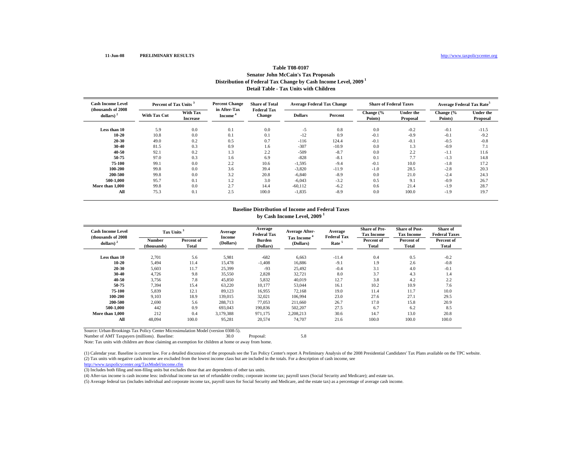#### **11-Jun-08 PRELIMINARY RESULTS**

# **Table T08-0107Senator John McCain's Tax Proposals Distribution of Federal Tax Change by Cash Income Level, 2009 1 Detail Table - Tax Units with Children**

| <b>Cash Income Level</b><br>(thousands of 2008) |                     | Percent of Tax Units <sup>3</sup>  |                        | <b>Share of Total</b><br><b>Federal Tax</b> | <b>Average Federal Tax Change</b> |         | <b>Share of Federal Taxes</b> |                       | Average Federal Tax Rate <sup>5</sup> |                              |
|-------------------------------------------------|---------------------|------------------------------------|------------------------|---------------------------------------------|-----------------------------------|---------|-------------------------------|-----------------------|---------------------------------------|------------------------------|
| dollars) $2$                                    | <b>With Tax Cut</b> | <b>With Tax</b><br><b>Increase</b> | in After-Tax<br>Income | <b>Change</b>                               | <b>Dollars</b>                    | Percent | Change (%<br>Points)          | Under the<br>Proposal | Change $\frac{6}{6}$<br>Points)       | <b>Under the</b><br>Proposal |
| Less than 10                                    | 5.9                 | 0.0                                | 0.1                    | 0.0                                         | $-5$                              | 0.8     | 0.0                           | $-0.2$                | $-0.1$                                | $-11.5$                      |
| $10 - 20$                                       | 10.8                | 0.0                                | 0.1                    | 0.1                                         | $-12$                             | 0.9     | $-0.1$                        | $-0.9$                | $-0.1$                                | $-9.2$                       |
| 20-30                                           | 49.0                | 0.2                                | 0.5                    | 0.7                                         | $-116$                            | 124.4   | $-0.1$                        | $-0.1$                | $-0.5$                                | $-0.8$                       |
| 30-40                                           | 81.5                | 0.3                                | 0.9                    | 1.6                                         | $-307$                            | $-10.9$ | 0.0                           | 1.3                   | $-0.9$                                | 7.1                          |
| 40-50                                           | 92.1                | 0.2                                | 1.3                    | 2.2                                         | $-509$                            | $-8.7$  | 0.0                           | 2.2                   | $-1.1$                                | 11.6                         |
| 50-75                                           | 97.0                | 0.3                                | 1.6                    | 6.9                                         | $-828$                            | $-8.1$  | 0.1                           | 7.7                   | $-1.3$                                | 14.8                         |
| 75-100                                          | 99.1                | 0.0                                | 2.2                    | 10.6                                        | $-1,595$                          | $-9.4$  | $-0.1$                        | 10.0                  | $-1.8$                                | 17.2                         |
| 100-200                                         | 99.8                | 0.0                                | 3.6                    | 39.4                                        | $-3,820$                          | $-11.9$ | $-1.0$                        | 28.5                  | $-2.8$                                | 20.3                         |
| 200-500                                         | 99.8                | 0.0                                | 3.2                    | 20.8                                        | $-6,840$                          | $-8.9$  | 0.0                           | 21.0                  | $-2.4$                                | 24.3                         |
| 500-1.000                                       | 95.7                | 0.1                                | 1.2                    | 3.0                                         | $-6,043$                          | $-3.2$  | 0.5                           | 9.1                   | $-0.9$                                | 26.7                         |
| More than 1,000                                 | 99.8                | 0.0                                | 2.7                    | 14.4                                        | $-60.112$                         | $-6.2$  | 0.6                           | 21.4                  | $-1.9$                                | 28.7                         |
| All                                             | 75.3                | 0.1                                | 2.5                    | 100.0                                       | $-1,835$                          | $-8.9$  | 0.0                           | 100.0                 | $-1.9$                                | 19.7                         |

#### **Baseline Distribution of Income and Federal Taxes by Cash Income Level, 2009 <sup>1</sup>**

| <b>Cash Income Level</b><br>(thousands of 2008) | Tax Units <sup>3</sup> |                     | Average                    | Average<br><b>Federal Tax</b> | <b>Average After-</b>   | Average<br><b>Federal Tax</b> | <b>Share of Pre-</b><br><b>Tax Income</b> | <b>Share of Post-</b><br><b>Tax Income</b> | Share of<br><b>Federal Taxes</b> |
|-------------------------------------------------|------------------------|---------------------|----------------------------|-------------------------------|-------------------------|-------------------------------|-------------------------------------------|--------------------------------------------|----------------------------------|
| dollars) $2$                                    | Number<br>(thousands)  | Percent of<br>Total | <b>Income</b><br>(Dollars) | Burden<br>(Dollars)           | Tax Income<br>(Dollars) | Rate <sup>5</sup>             | Percent of<br>Total                       | Percent of<br>Total                        | Percent of<br>Total              |
| Less than 10                                    | 2,701                  | 5.6                 | 5,981                      | $-682$                        | 6,663                   | $-11.4$                       | 0.4                                       | 0.5                                        | $-0.2$                           |
| $10 - 20$                                       | 5,494                  | 11.4                | 15,478                     | $-1,408$                      | 16,886                  | $-9.1$                        | 1.9                                       | 2.6                                        | $-0.8$                           |
| 20-30                                           | 5,603                  | 11.7                | 25,399                     | $-93$                         | 25,492                  | $-0.4$                        | 3.1                                       | 4.0                                        | $-0.1$                           |
| 30-40                                           | 4,726                  | 9.8                 | 35,550                     | 2,828                         | 32,721                  | 8.0                           | 3.7                                       | 4.3                                        | 1.4                              |
| $40 - 50$                                       | 3,756                  | 7.8                 | 45,850                     | 5,832                         | 40,019                  | 12.7                          | 3.8                                       | 4.2                                        | 2.2                              |
| 50-75                                           | 7,394                  | 15.4                | 63,220                     | 10,177                        | 53,044                  | 16.1                          | 10.2                                      | 10.9                                       | 7.6                              |
| 75-100                                          | 5,839                  | 12.1                | 89,123                     | 16,955                        | 72,168                  | 19.0                          | 11.4                                      | 11.7                                       | 10.0                             |
| 100-200                                         | 9.103                  | 18.9                | 139,015                    | 32,021                        | 106.994                 | 23.0                          | 27.6                                      | 27.1                                       | 29.5                             |
| 200-500                                         | 2,690                  | 5.6                 | 288,713                    | 77.053                        | 211.660                 | 26.7                          | 17.0                                      | 15.8                                       | 20.9                             |
| 500-1.000                                       | 442                    | 0.9                 | 693.043                    | 190,836                       | 502,207                 | 27.5                          | 6.7                                       | 6.2                                        | 8.5                              |
| More than 1,000                                 | 212                    | 0.4                 | 3,179,388                  | 971,175                       | 2,208,213               | 30.6                          | 14.7                                      | 13.0                                       | 20.8                             |
| All                                             | 48,094                 | 100.0               | 95,281                     | 20,574                        | 74,707                  | 21.6                          | 100.0                                     | 100.0                                      | 100.0                            |

Source: Urban-Brookings Tax Policy Center Microsimulation Model (version 0308-5).

Number of AMT Taxpayers (millions). Baseline: 30.0 Proposal: 5.8

Note: Tax units with children are those claiming an exemption for children at home or away from home.

(2) Tax units with negative cash income are excluded from the lowest income class but are included in the totals. For a description of cash income, see (1) Calendar year. Baseline is current law. For a detailed discussion of the proposals see the Tax Policy Center's report A Preliminary Analysis of the 2008 Presidential Candidates' Tax Plans available on the TPC website.

http://www.taxpolicycenter.org/TaxModel/income.cfm

(3) Includes both filing and non-filing units but excludes those that are dependents of other tax units.

(4) After-tax income is cash income less: individual income tax net of refundable credits; corporate income tax; payroll taxes (Social Security and Medicare); and estate tax.